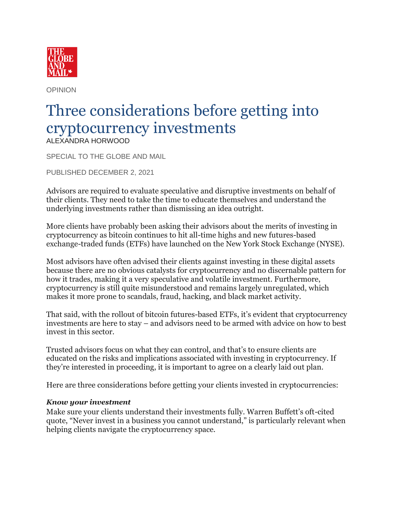

OPINION

## Three considerations before getting into cryptocurrency investments ALEXANDRA HORWOOD

SPECIAL TO THE GLOBE AND MAIL

PUBLISHED DECEMBER 2, 2021

Advisors are required to evaluate speculative and disruptive investments on behalf of their clients. They need to take the time to educate themselves and understand the underlying investments rather than dismissing an idea outright.

More clients have probably been asking their advisors about the merits of investing in cryptocurrency as bitcoin continues to hit all-time highs and new futures-based exchange-traded funds (ETFs) have launched on the New York Stock Exchange (NYSE).

Most advisors have often advised their clients against investing in these digital assets because there are no obvious catalysts for cryptocurrency and no discernable pattern for how it trades, making it a very speculative and volatile investment. Furthermore, cryptocurrency is still quite misunderstood and remains largely unregulated, which makes it more prone to scandals, fraud, hacking, and black market activity.

That said, with the rollout of bitcoin futures-based ETFs, it's evident that cryptocurrency investments are here to stay – and advisors need to be armed with advice on how to best invest in this sector.

Trusted advisors focus on what they can control, and that's to ensure clients are educated on the risks and implications associated with investing in cryptocurrency. If they're interested in proceeding, it is important to agree on a clearly laid out plan.

Here are three considerations before getting your clients invested in cryptocurrencies:

## *Know your investment*

Make sure your clients understand their investments fully. Warren Buffett's oft-cited quote, "Never invest in a business you cannot understand," is particularly relevant when helping clients navigate the cryptocurrency space.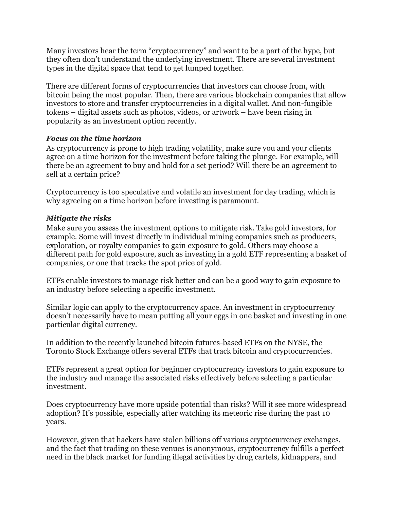Many investors hear the term "cryptocurrency" and want to be a part of the hype, but they often don't understand the underlying investment. There are several investment types in the digital space that tend to get lumped together.

There are different forms of cryptocurrencies that investors can choose from, with bitcoin being the most popular. Then, there are various blockchain companies that allow investors to store and transfer cryptocurrencies in a digital wallet. And non-fungible tokens – digital assets such as photos, videos, or artwork – have been rising in popularity as an investment option recently.

## *Focus on the time horizon*

As cryptocurrency is prone to high trading volatility, make sure you and your clients agree on a time horizon for the investment before taking the plunge. For example, will there be an agreement to buy and hold for a set period? Will there be an agreement to sell at a certain price?

Cryptocurrency is too speculative and volatile an investment for day trading, which is why agreeing on a time horizon before investing is paramount.

## *Mitigate the risks*

Make sure you assess the investment options to mitigate risk. Take gold investors, for example. Some will invest directly in individual mining companies such as producers, exploration, or royalty companies to gain exposure to gold. Others may choose a different path for gold exposure, such as investing in a gold ETF representing a basket of companies, or one that tracks the spot price of gold.

ETFs enable investors to manage risk better and can be a good way to gain exposure to an industry before selecting a specific investment.

Similar logic can apply to the cryptocurrency space. An investment in cryptocurrency doesn't necessarily have to mean putting all your eggs in one basket and investing in one particular digital currency.

In addition to the recently launched bitcoin futures-based ETFs on the NYSE, the Toronto Stock Exchange offers several ETFs that track bitcoin and cryptocurrencies.

ETFs represent a great option for beginner cryptocurrency investors to gain exposure to the industry and manage the associated risks effectively before selecting a particular investment.

Does cryptocurrency have more upside potential than risks? Will it see more widespread adoption? It's possible, especially after watching its meteoric rise during the past 10 years.

However, given that hackers have stolen billions off various cryptocurrency exchanges, and the fact that trading on these venues is anonymous, cryptocurrency fulfills a perfect need in the black market for funding illegal activities by drug cartels, kidnappers, and